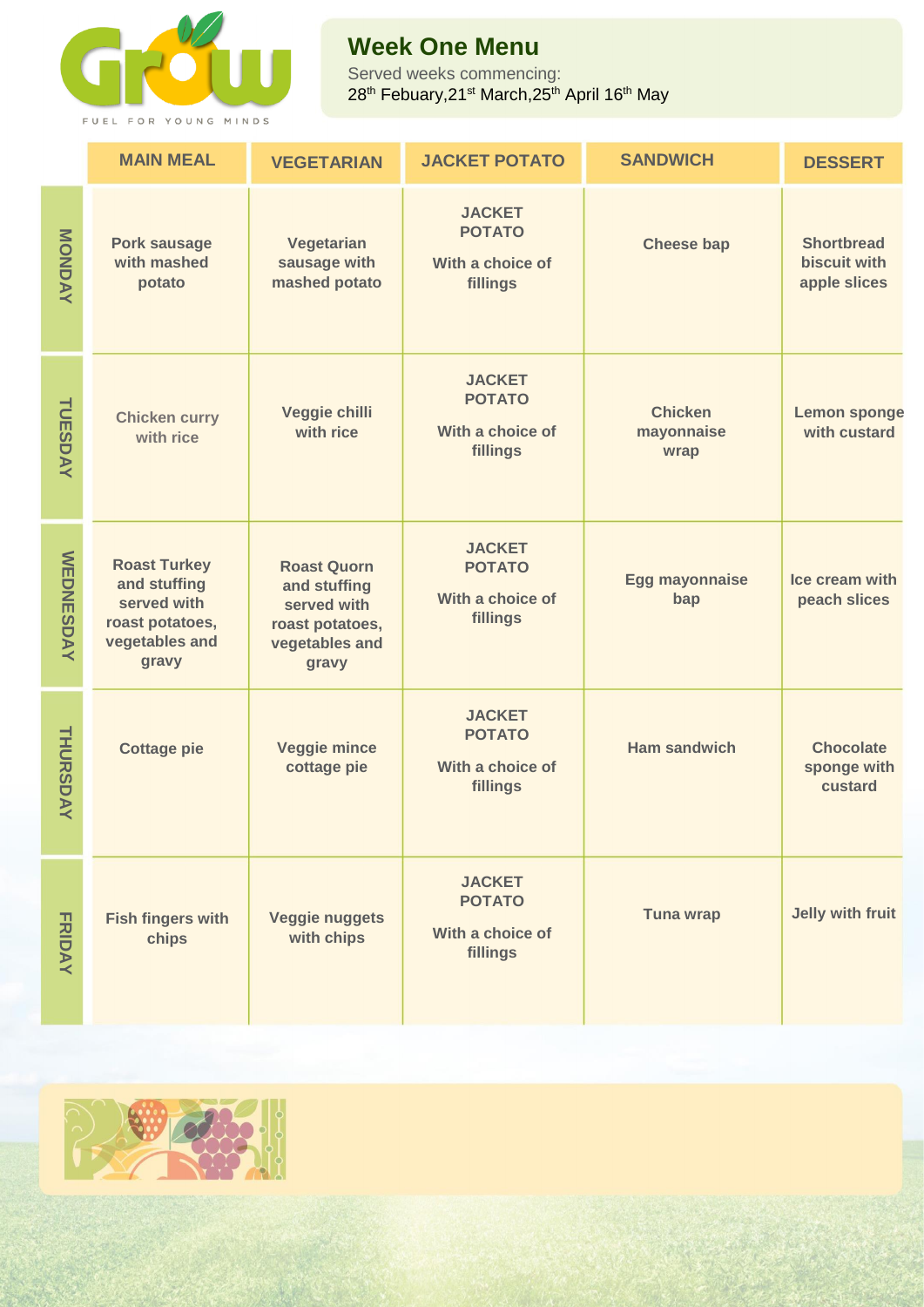

## **Week One Menu**

Served weeks commencing: 28<sup>th</sup> Febuary,21st March,25<sup>th</sup> April 16<sup>th</sup> May

|                  | <b>MAIN MEAL</b>                                                                                 | <b>VEGETARIAN</b>                                                                               | <b>JACKET POTATO</b>                                           | <b>SANDWICH</b>                      | <b>DESSERT</b>                                           |
|------------------|--------------------------------------------------------------------------------------------------|-------------------------------------------------------------------------------------------------|----------------------------------------------------------------|--------------------------------------|----------------------------------------------------------|
| MONDAY           | <b>Pork sausage</b><br>with mashed<br>potato                                                     | Vegetarian<br>sausage with<br>mashed potato                                                     | <b>JACKET</b><br><b>POTATO</b><br>With a choice of<br>fillings | <b>Cheese bap</b>                    | <b>Shortbread</b><br><b>biscuit with</b><br>apple slices |
| TUESDAY          | <b>Chicken curry</b><br>with rice                                                                | Veggie chilli<br>with rice                                                                      | <b>JACKET</b><br><b>POTATO</b><br>With a choice of<br>fillings | <b>Chicken</b><br>mayonnaise<br>wrap | <b>Lemon sponge</b><br>with custard                      |
| <b>WEDNESDAY</b> | <b>Roast Turkey</b><br>and stuffing<br>served with<br>roast potatoes,<br>vegetables and<br>gravy | <b>Roast Quorn</b><br>and stuffing<br>served with<br>roast potatoes,<br>vegetables and<br>gravy | <b>JACKET</b><br><b>POTATO</b><br>With a choice of<br>fillings | <b>Egg mayonnaise</b><br>bap         | Ice cream with<br>peach slices                           |
| THURSDAY         | <b>Cottage pie</b>                                                                               | <b>Veggie mince</b><br>cottage pie                                                              | <b>JACKET</b><br><b>POTATO</b><br>With a choice of<br>fillings | Ham sandwich                         | <b>Chocolate</b><br>sponge with<br>custard               |
| <b>FRIDAY</b>    | <b>Fish fingers with</b><br>chips                                                                | <b>Veggie nuggets</b><br>with chips                                                             | <b>JACKET</b><br><b>POTATO</b><br>With a choice of<br>fillings | <b>Tuna wrap</b>                     | Jelly with fruit                                         |

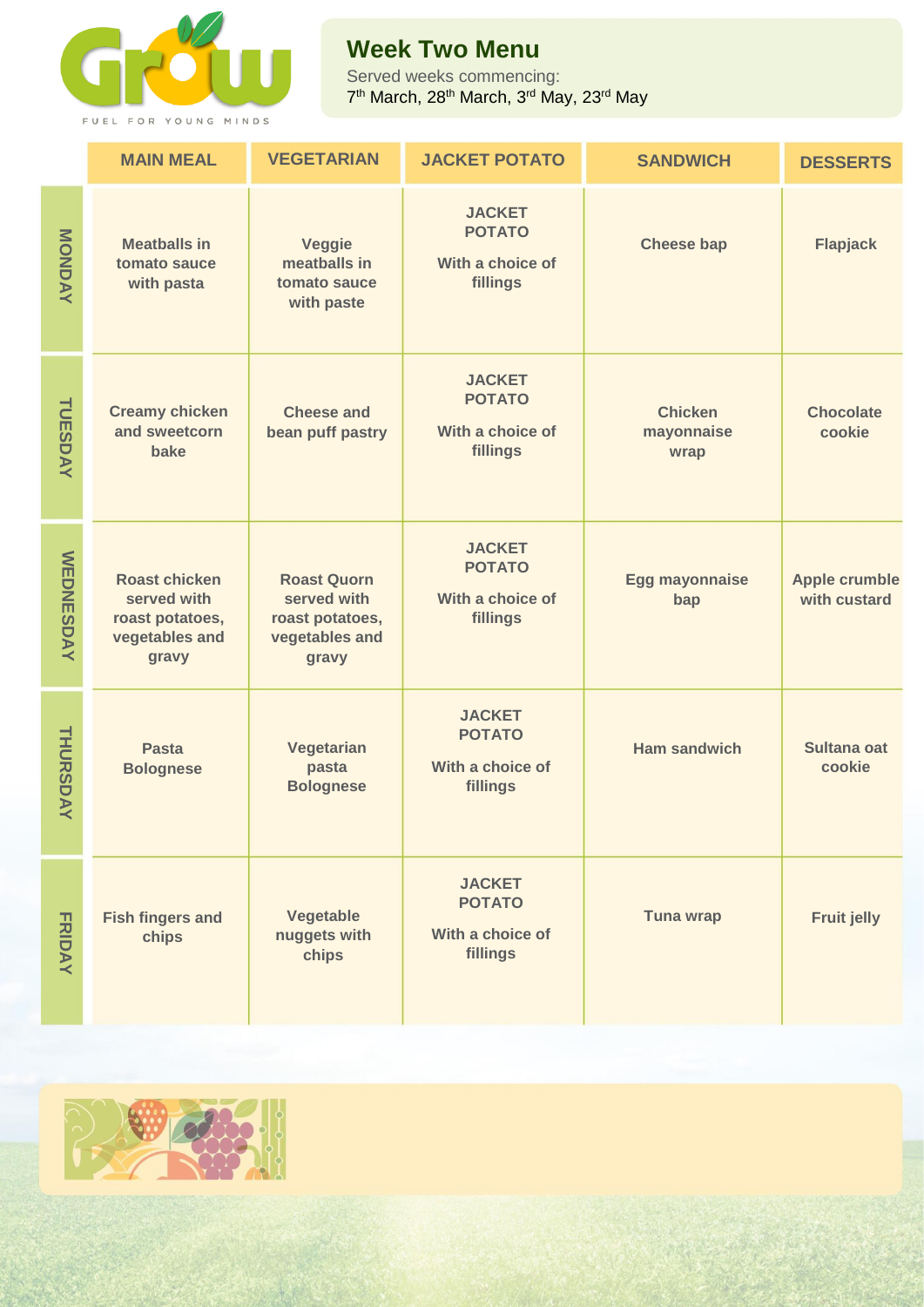

## **Week Two Menu**

Served weeks commencing: 7<sup>th</sup> March, 28<sup>th</sup> March, 3<sup>rd</sup> May, 23<sup>rd</sup> May

|                  | <b>MAIN MEAL</b>                                                                  | <b>VEGETARIAN</b>                                                               | <b>JACKET POTATO</b>                                           | <b>SANDWICH</b>                      | <b>DESSERTS</b>                      |
|------------------|-----------------------------------------------------------------------------------|---------------------------------------------------------------------------------|----------------------------------------------------------------|--------------------------------------|--------------------------------------|
| MONDAY           | <b>Meatballs in</b><br>tomato sauce<br>with pasta                                 | <b>Veggie</b><br>meatballs in<br>tomato sauce<br>with paste                     | <b>JACKET</b><br><b>POTATO</b><br>With a choice of<br>fillings | <b>Cheese bap</b>                    | <b>Flapjack</b>                      |
| TUESDAY          | <b>Creamy chicken</b><br>and sweetcorn<br>bake                                    | <b>Cheese and</b><br>bean puff pastry                                           | <b>JACKET</b><br><b>POTATO</b><br>With a choice of<br>fillings | <b>Chicken</b><br>mayonnaise<br>wrap | <b>Chocolate</b><br>cookie           |
| <b>WEDNESDAY</b> | <b>Roast chicken</b><br>served with<br>roast potatoes,<br>vegetables and<br>gravy | <b>Roast Quorn</b><br>served with<br>roast potatoes,<br>vegetables and<br>gravy | <b>JACKET</b><br><b>POTATO</b><br>With a choice of<br>fillings | <b>Egg mayonnaise</b><br>bap         | <b>Apple crumble</b><br>with custard |
| THURSDAY         | <b>Pasta</b><br><b>Bolognese</b>                                                  | Vegetarian<br>pasta<br><b>Bolognese</b>                                         | <b>JACKET</b><br><b>POTATO</b><br>With a choice of<br>fillings | <b>Ham sandwich</b>                  | Sultana oat<br>cookie                |
| <b>FRIDAY</b>    | <b>Fish fingers and</b><br>chips                                                  | Vegetable<br>nuggets with<br>chips                                              | <b>JACKET</b><br><b>POTATO</b><br>With a choice of<br>fillings | <b>Tuna wrap</b>                     | <b>Fruit jelly</b>                   |